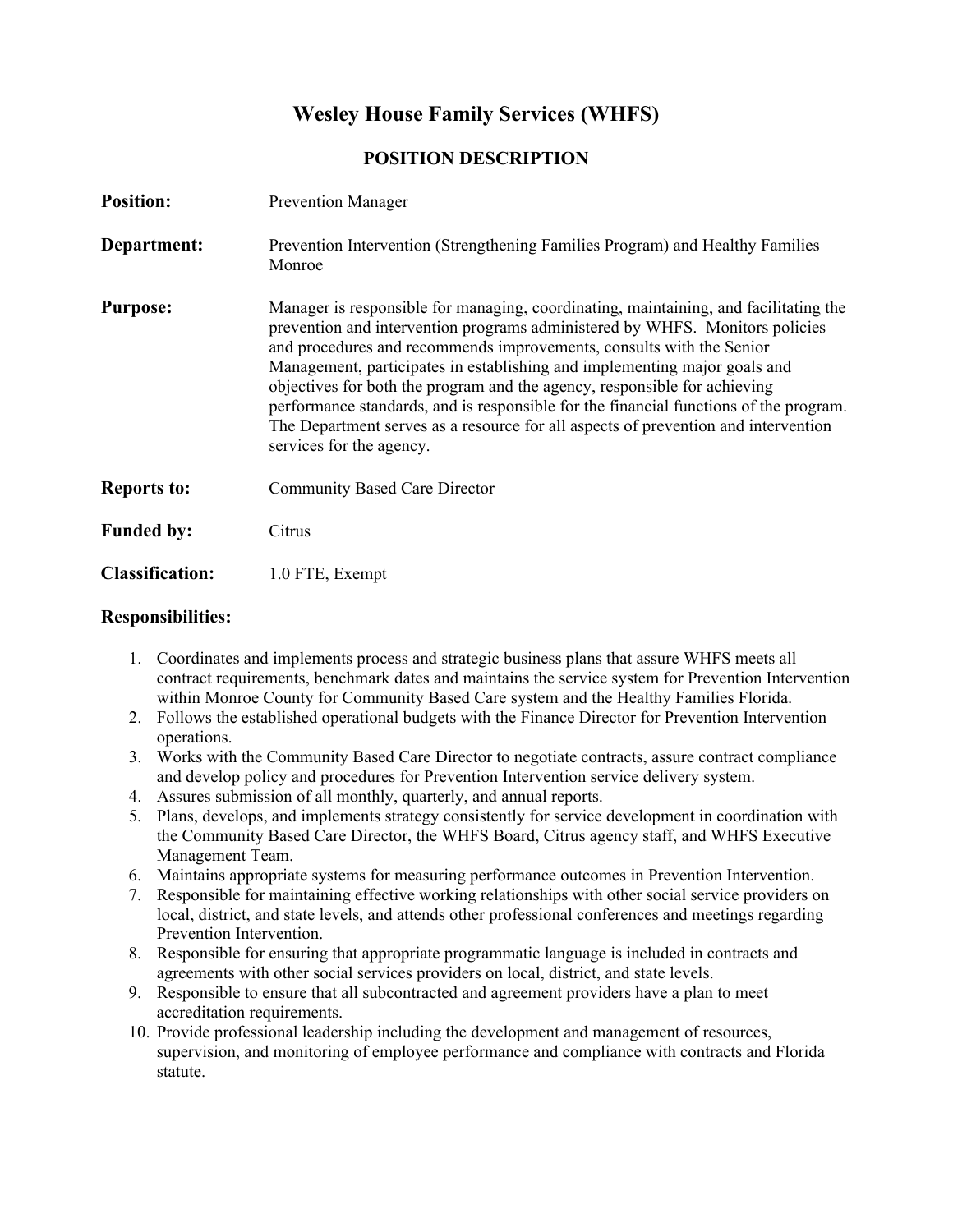# **Wesley House Family Services (WHFS)**

## **POSITION DESCRIPTION**

| <b>Position:</b>       | <b>Prevention Manager</b>                                                                                                                                                                                                                                                                                                                                                                                                                                                                                                                                                                                         |
|------------------------|-------------------------------------------------------------------------------------------------------------------------------------------------------------------------------------------------------------------------------------------------------------------------------------------------------------------------------------------------------------------------------------------------------------------------------------------------------------------------------------------------------------------------------------------------------------------------------------------------------------------|
| Department:            | Prevention Intervention (Strengthening Families Program) and Healthy Families<br>Monroe                                                                                                                                                                                                                                                                                                                                                                                                                                                                                                                           |
| <b>Purpose:</b>        | Manager is responsible for managing, coordinating, maintaining, and facilitating the<br>prevention and intervention programs administered by WHFS. Monitors policies<br>and procedures and recommends improvements, consults with the Senior<br>Management, participates in establishing and implementing major goals and<br>objectives for both the program and the agency, responsible for achieving<br>performance standards, and is responsible for the financial functions of the program.<br>The Department serves as a resource for all aspects of prevention and intervention<br>services for the agency. |
| <b>Reports to:</b>     | <b>Community Based Care Director</b>                                                                                                                                                                                                                                                                                                                                                                                                                                                                                                                                                                              |
| <b>Funded by:</b>      | Citrus                                                                                                                                                                                                                                                                                                                                                                                                                                                                                                                                                                                                            |
| <b>Classification:</b> | 1.0 FTE, Exempt                                                                                                                                                                                                                                                                                                                                                                                                                                                                                                                                                                                                   |

#### **Responsibilities:**

- 1. Coordinates and implements process and strategic business plans that assure WHFS meets all contract requirements, benchmark dates and maintains the service system for Prevention Intervention within Monroe County for Community Based Care system and the Healthy Families Florida.
- 2. Follows the established operational budgets with the Finance Director for Prevention Intervention operations.
- 3. Works with the Community Based Care Director to negotiate contracts, assure contract compliance and develop policy and procedures for Prevention Intervention service delivery system.
- 4. Assures submission of all monthly, quarterly, and annual reports.
- 5. Plans, develops, and implements strategy consistently for service development in coordination with the Community Based Care Director, the WHFS Board, Citrus agency staff, and WHFS Executive Management Team.
- 6. Maintains appropriate systems for measuring performance outcomes in Prevention Intervention.
- 7. Responsible for maintaining effective working relationships with other social service providers on local, district, and state levels, and attends other professional conferences and meetings regarding Prevention Intervention.
- 8. Responsible for ensuring that appropriate programmatic language is included in contracts and agreements with other social services providers on local, district, and state levels.
- 9. Responsible to ensure that all subcontracted and agreement providers have a plan to meet accreditation requirements.
- 10. Provide professional leadership including the development and management of resources, supervision, and monitoring of employee performance and compliance with contracts and Florida statute.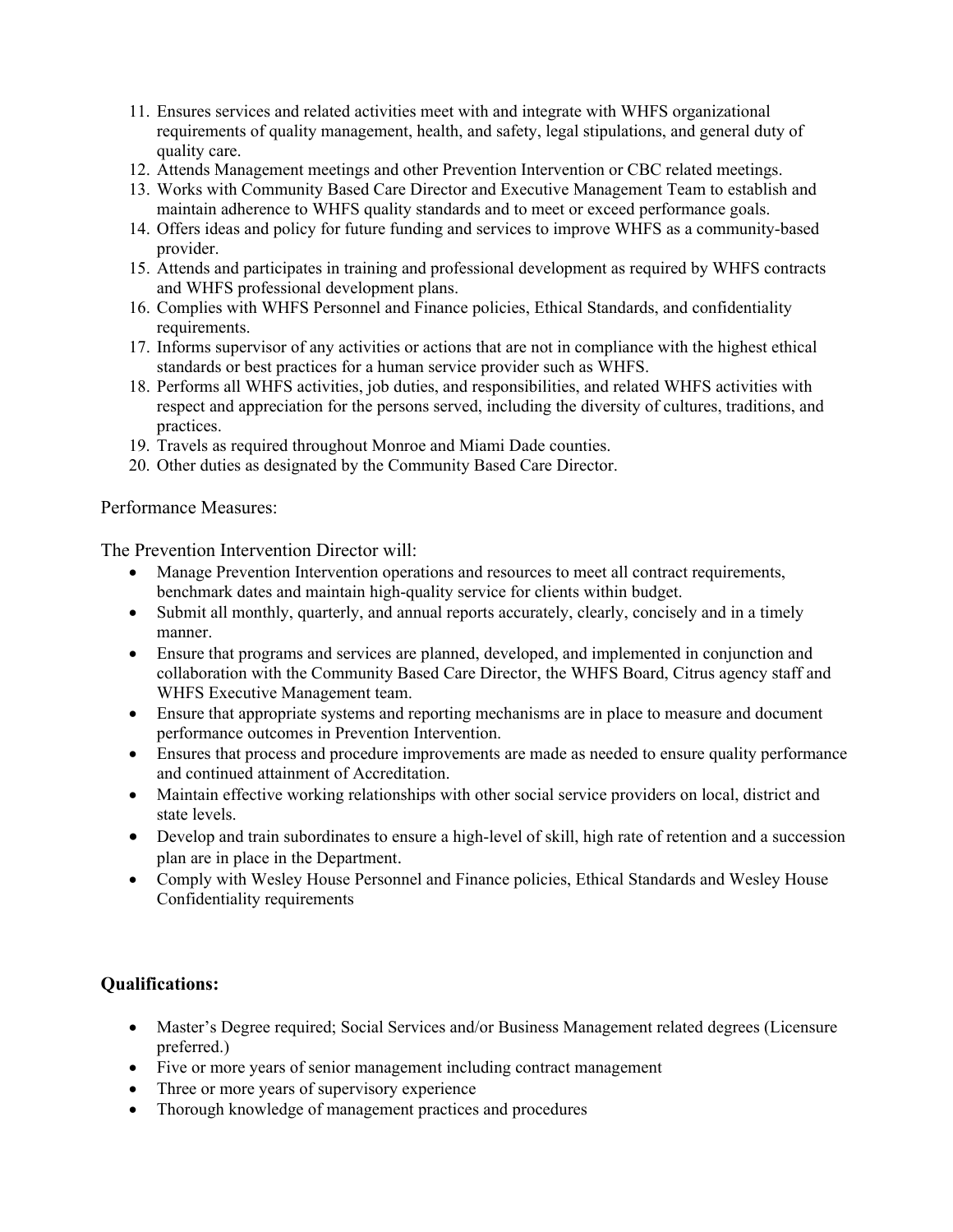- 11. Ensures services and related activities meet with and integrate with WHFS organizational requirements of quality management, health, and safety, legal stipulations, and general duty of quality care.
- 12. Attends Management meetings and other Prevention Intervention or CBC related meetings.
- 13. Works with Community Based Care Director and Executive Management Team to establish and maintain adherence to WHFS quality standards and to meet or exceed performance goals.
- 14. Offers ideas and policy for future funding and services to improve WHFS as a community-based provider.
- 15. Attends and participates in training and professional development as required by WHFS contracts and WHFS professional development plans.
- 16. Complies with WHFS Personnel and Finance policies, Ethical Standards, and confidentiality requirements.
- 17. Informs supervisor of any activities or actions that are not in compliance with the highest ethical standards or best practices for a human service provider such as WHFS.
- 18. Performs all WHFS activities, job duties, and responsibilities, and related WHFS activities with respect and appreciation for the persons served, including the diversity of cultures, traditions, and practices.
- 19. Travels as required throughout Monroe and Miami Dade counties.
- 20. Other duties as designated by the Community Based Care Director.

#### Performance Measures:

The Prevention Intervention Director will:

- Manage Prevention Intervention operations and resources to meet all contract requirements, benchmark dates and maintain high-quality service for clients within budget.
- Submit all monthly, quarterly, and annual reports accurately, clearly, concisely and in a timely manner.
- Ensure that programs and services are planned, developed, and implemented in conjunction and collaboration with the Community Based Care Director, the WHFS Board, Citrus agency staff and WHFS Executive Management team.
- Ensure that appropriate systems and reporting mechanisms are in place to measure and document performance outcomes in Prevention Intervention.
- Ensures that process and procedure improvements are made as needed to ensure quality performance and continued attainment of Accreditation.
- Maintain effective working relationships with other social service providers on local, district and state levels.
- Develop and train subordinates to ensure a high-level of skill, high rate of retention and a succession plan are in place in the Department.
- Comply with Wesley House Personnel and Finance policies, Ethical Standards and Wesley House Confidentiality requirements

### **Qualifications:**

- Master's Degree required; Social Services and/or Business Management related degrees (Licensure preferred.)
- Five or more years of senior management including contract management
- Three or more years of supervisory experience
- Thorough knowledge of management practices and procedures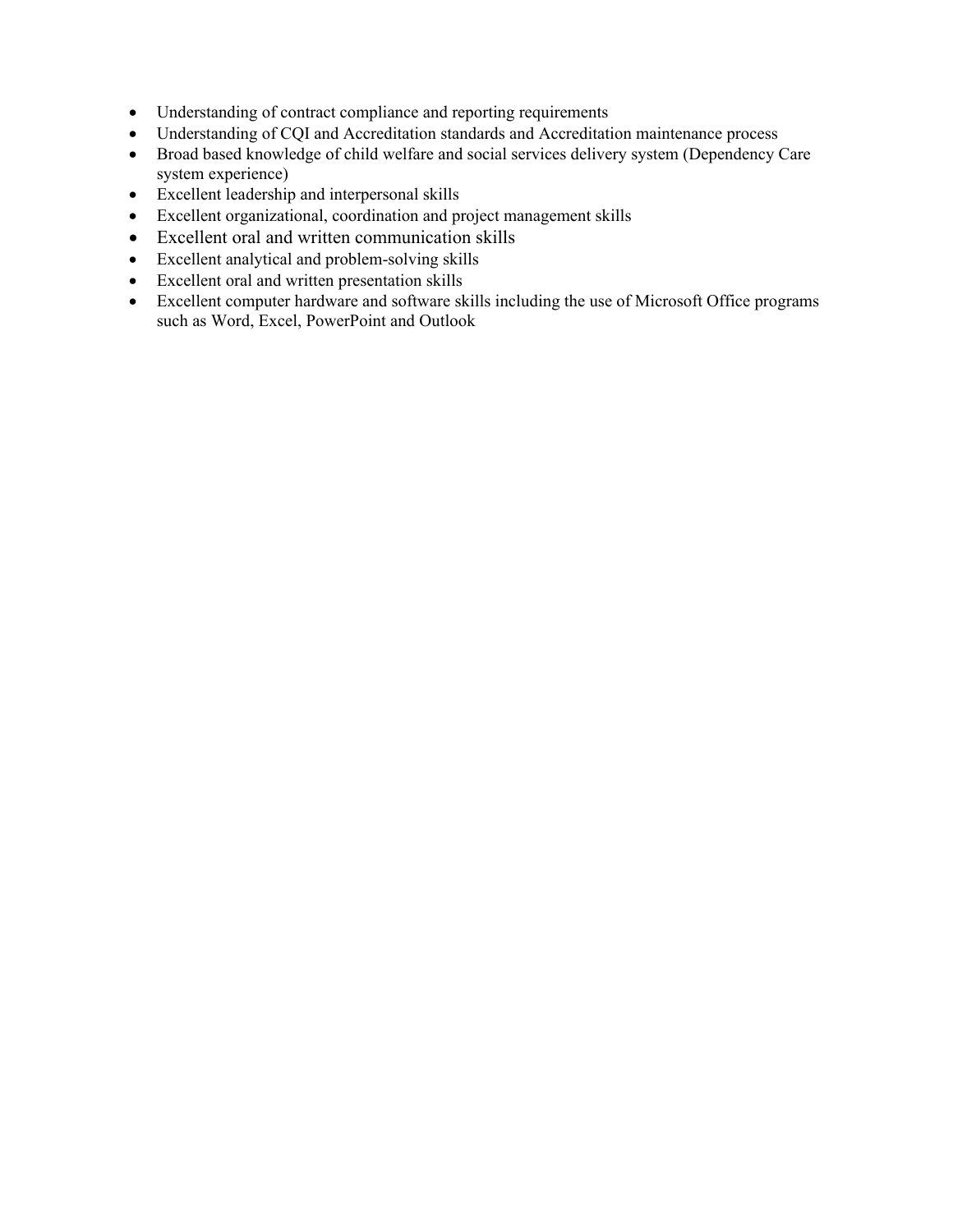- Understanding of contract compliance and reporting requirements
- Understanding of CQI and Accreditation standards and Accreditation maintenance process
- Broad based knowledge of child welfare and social services delivery system (Dependency Care system experience)
- Excellent leadership and interpersonal skills
- Excellent organizational, coordination and project management skills
- Excellent oral and written communication skills
- Excellent analytical and problem-solving skills
- Excellent oral and written presentation skills
- Excellent computer hardware and software skills including the use of Microsoft Office programs such as Word, Excel, PowerPoint and Outlook